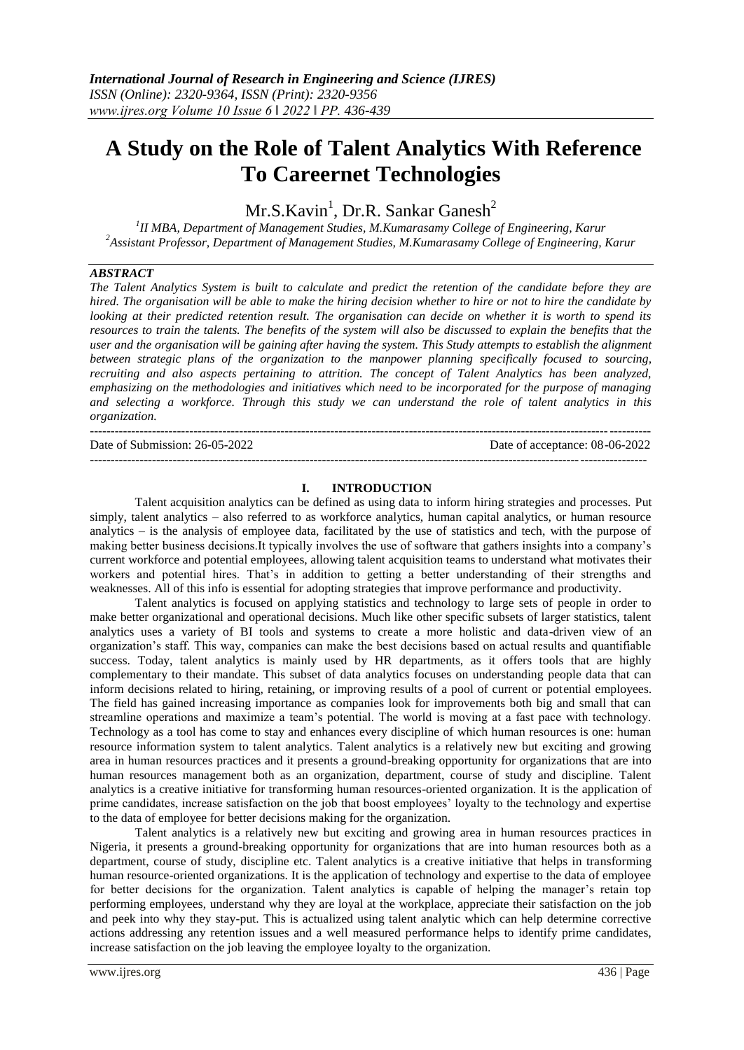# **A Study on the Role of Talent Analytics With Reference To Careernet Technologies**

Mr.S.Kavin<sup>1</sup>, Dr.R. Sankar Ganesh<sup>2</sup>

*1 II MBA, Department of Management Studies, M.Kumarasamy College of Engineering, Karur <sup>2</sup>Assistant Professor, Department of Management Studies, M.Kumarasamy College of Engineering, Karur*

## *ABSTRACT*

*The Talent Analytics System is built to calculate and predict the retention of the candidate before they are hired. The organisation will be able to make the hiring decision whether to hire or not to hire the candidate by looking at their predicted retention result. The organisation can decide on whether it is worth to spend its resources to train the talents. The benefits of the system will also be discussed to explain the benefits that the user and the organisation will be gaining after having the system. This Study attempts to establish the alignment between strategic plans of the organization to the manpower planning specifically focused to sourcing, recruiting and also aspects pertaining to attrition. The concept of Talent Analytics has been analyzed, emphasizing on the methodologies and initiatives which need to be incorporated for the purpose of managing and selecting a workforce. Through this study we can understand the role of talent analytics in this organization.*

--------------------------------------------------------------------------------------------------------------------------------------- Date of Submission: 26-05-2022 Date of acceptance: 08-06-2022 --------------------------------------------------------------------------------------------------------------------------------------

# **I. INTRODUCTION**

Talent acquisition analytics can be defined as using data to inform hiring strategies and processes. Put simply, talent analytics – also referred to as workforce analytics, human capital analytics, or human resource analytics – is the analysis of employee data, facilitated by the use of statistics and tech, with the purpose of making better business decisions.It typically involves the use of software that gathers insights into a company's current workforce and potential employees, allowing talent acquisition teams to understand what motivates their workers and potential hires. That's in addition to getting a better understanding of their strengths and weaknesses. All of this info is essential for adopting strategies that improve performance and productivity.

Talent analytics is focused on applying statistics and technology to large sets of people in order to make better organizational and operational decisions. Much like other specific subsets of larger statistics, talent analytics uses a variety of BI tools and systems to create a more holistic and data-driven view of an organization's staff. This way, companies can make the best decisions based on actual results and quantifiable success. Today, talent analytics is mainly used by HR departments, as it offers tools that are highly complementary to their mandate. This subset of data analytics focuses on understanding people data that can inform decisions related to hiring, retaining, or improving results of a pool of current or potential employees. The field has gained increasing importance as companies look for improvements both big and small that can streamline operations and maximize a team's potential. The world is moving at a fast pace with technology. Technology as a tool has come to stay and enhances every discipline of which human resources is one: human resource information system to talent analytics. Talent analytics is a relatively new but exciting and growing area in human resources practices and it presents a ground-breaking opportunity for organizations that are into human resources management both as an organization, department, course of study and discipline. Talent analytics is a creative initiative for transforming human resources-oriented organization. It is the application of prime candidates, increase satisfaction on the job that boost employees' loyalty to the technology and expertise to the data of employee for better decisions making for the organization.

Talent analytics is a relatively new but exciting and growing area in human resources practices in Nigeria, it presents a ground-breaking opportunity for organizations that are into human resources both as a department, course of study, discipline etc. Talent analytics is a creative initiative that helps in transforming human resource-oriented organizations. It is the application of technology and expertise to the data of employee for better decisions for the organization. Talent analytics is capable of helping the manager's retain top performing employees, understand why they are loyal at the workplace, appreciate their satisfaction on the job and peek into why they stay-put. This is actualized using talent analytic which can help determine corrective actions addressing any retention issues and a well measured performance helps to identify prime candidates, increase satisfaction on the job leaving the employee loyalty to the organization.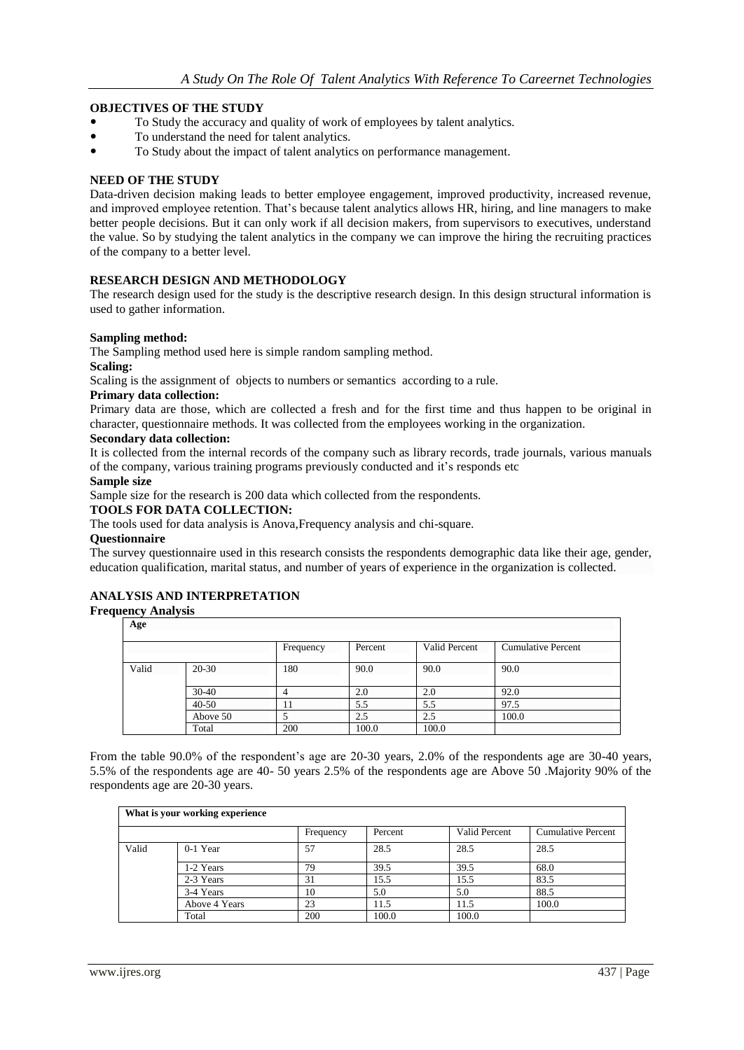# **OBJECTIVES OF THE STUDY**

- To Study the accuracy and quality of work of employees by talent analytics.
- To understand the need for talent analytics.
- To Study about the impact of talent analytics on performance management.

## **NEED OF THE STUDY**

Data-driven decision making leads to better employee engagement, improved productivity, increased revenue, and improved employee retention. That's because talent analytics allows HR, hiring, and line managers to make better people decisions. But it can only work if all decision makers, from supervisors to executives, understand the value. So by studying the talent analytics in the company we can improve the hiring the recruiting practices of the company to a better level.

# **RESEARCH DESIGN AND METHODOLOGY**

The research design used for the study is the descriptive research design. In this design structural information is used to gather information.

#### **Sampling method:**

The Sampling method used here is simple random sampling method.

#### **Scaling:**

Scaling is the assignment of objects to numbers or semantics according to a rule.

#### **Primary data collection:**

Primary data are those, which are collected a fresh and for the first time and thus happen to be original in character, questionnaire methods. It was collected from the employees working in the organization.

#### **Secondary data collection:**

It is collected from the internal records of the company such as library records, trade journals, various manuals of the company, various training programs previously conducted and it's responds etc

#### **Sample size**

Sample size for the research is 200 data which collected from the respondents.

## **TOOLS FOR DATA COLLECTION:**

The tools used for data analysis is Anova,Frequency analysis and chi-square.

#### **Questionnaire**

The survey questionnaire used in this research consists the respondents demographic data like their age, gender, education qualification, marital status, and number of years of experience in the organization is collected.

## **ANALYSIS AND INTERPRETATION**

# **Frequency Analysis**

**Age**

|       |           | Frequency | Percent | Valid Percent | <b>Cumulative Percent</b> |
|-------|-----------|-----------|---------|---------------|---------------------------|
|       |           |           |         |               |                           |
| Valid | $20-30$   | 180       | 90.0    | 90.0          | 90.0                      |
|       |           |           |         |               |                           |
|       | $30-40$   |           | 2.0     | 2.0           | 92.0                      |
|       | $40 - 50$ |           | 5.5     | 5.5           | 97.5                      |
|       | Above 50  |           | 2.5     | 2.5           | 100.0                     |
|       | Total     | 200       | 100.0   | 100.0         |                           |

From the table 90.0% of the respondent's age are 20-30 years, 2.0% of the respondents age are 30-40 years, 5.5% of the respondents age are 40- 50 years 2.5% of the respondents age are Above 50 .Majority 90% of the respondents age are 20-30 years.

| What is your working experience |               |           |         |               |                           |  |  |
|---------------------------------|---------------|-----------|---------|---------------|---------------------------|--|--|
|                                 |               | Frequency | Percent | Valid Percent | <b>Cumulative Percent</b> |  |  |
| Valid                           | $0-1$ Year    | 57        | 28.5    | 28.5          | 28.5                      |  |  |
|                                 | 1-2 Years     | 79        | 39.5    | 39.5          | 68.0                      |  |  |
|                                 | 2-3 Years     | 31        | 15.5    | 15.5          | 83.5                      |  |  |
|                                 | 3-4 Years     | 10        | 5.0     | 5.0           | 88.5                      |  |  |
|                                 | Above 4 Years | 23        | 11.5    | 11.5          | 100.0                     |  |  |
|                                 | Total         | 200       | 100.0   | 100.0         |                           |  |  |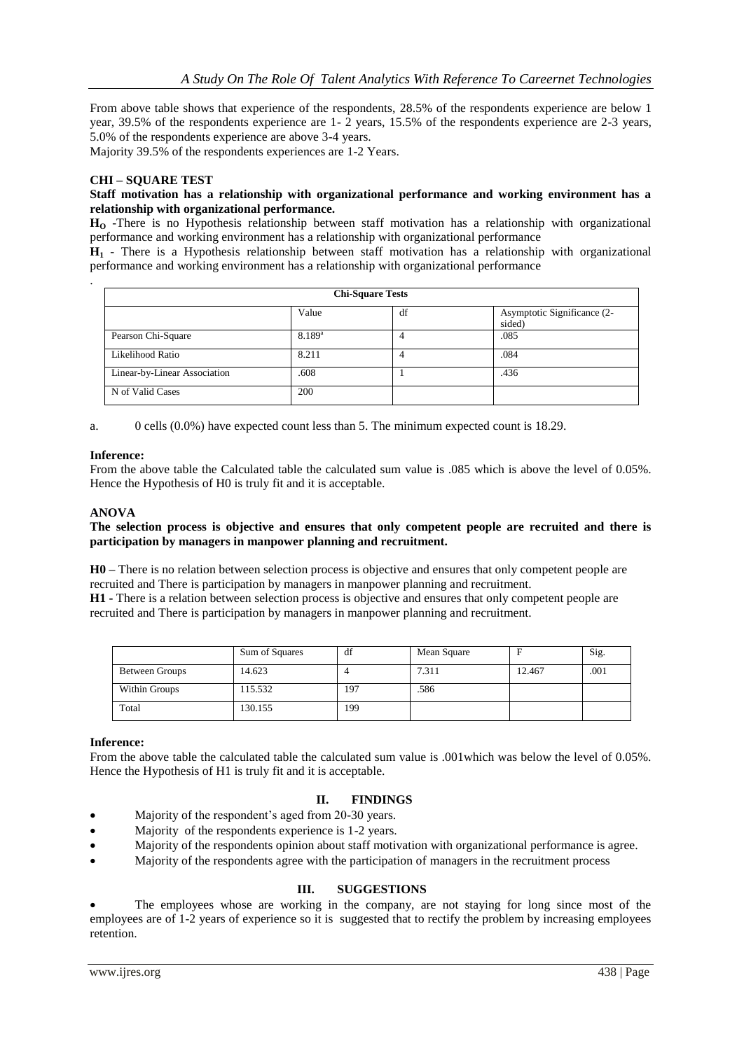From above table shows that experience of the respondents, 28.5% of the respondents experience are below 1 year, 39.5% of the respondents experience are 1- 2 years, 15.5% of the respondents experience are 2-3 years, 5.0% of the respondents experience are above 3-4 years.

Majority 39.5% of the respondents experiences are 1-2 Years.

## **CHI – SQUARE TEST**

## **Staff motivation has a relationship with organizational performance and working environment has a relationship with organizational performance.**

**H<sup>O</sup>** -There is no Hypothesis relationship between staff motivation has a relationship with organizational performance and working environment has a relationship with organizational performance

**H<sup>1</sup>** - There is a Hypothesis relationship between staff motivation has a relationship with organizational performance and working environment has a relationship with organizational performance

| <b>Chi-Square Tests</b>      |             |    |                                       |  |  |
|------------------------------|-------------|----|---------------------------------------|--|--|
|                              | Value       | df | Asymptotic Significance (2-<br>sided) |  |  |
| Pearson Chi-Square           | $8.189^{a}$ | 4  | .085                                  |  |  |
| Likelihood Ratio             | 8.211       |    | .084                                  |  |  |
| Linear-by-Linear Association | .608        |    | .436                                  |  |  |
| N of Valid Cases             | 200         |    |                                       |  |  |

a. 0 cells (0.0%) have expected count less than 5. The minimum expected count is 18.29.

## **Inference:**

.

From the above table the Calculated table the calculated sum value is .085 which is above the level of 0.05%. Hence the Hypothesis of H0 is truly fit and it is acceptable.

## **ANOVA**

#### **The selection process is objective and ensures that only competent people are recruited and there is participation by managers in manpower planning and recruitment.**

**H0 –** There is no relation between selection process is objective and ensures that only competent people are recruited and There is participation by managers in manpower planning and recruitment.

**H1 -** There is a relation between selection process is objective and ensures that only competent people are recruited and There is participation by managers in manpower planning and recruitment.

|                | Sum of Squares | df  | Mean Square |        | Sig. |
|----------------|----------------|-----|-------------|--------|------|
| Between Groups | 14.623         |     | 7.311       | 12.467 | .001 |
| Within Groups  | 115.532        | 197 | .586        |        |      |
| Total          | 130.155        | 199 |             |        |      |

## **Inference:**

From the above table the calculated table the calculated sum value is .001which was below the level of 0.05%. Hence the Hypothesis of H1 is truly fit and it is acceptable.

# **II. FINDINGS**

- Majority of the respondent's aged from 20-30 years.
- Majority of the respondents experience is 1-2 years.
- Majority of the respondents opinion about staff motivation with organizational performance is agree.
- Majority of the respondents agree with the participation of managers in the recruitment process

## **III. SUGGESTIONS**

 The employees whose are working in the company, are not staying for long since most of the employees are of 1-2 years of experience so it is suggested that to rectify the problem by increasing employees retention.